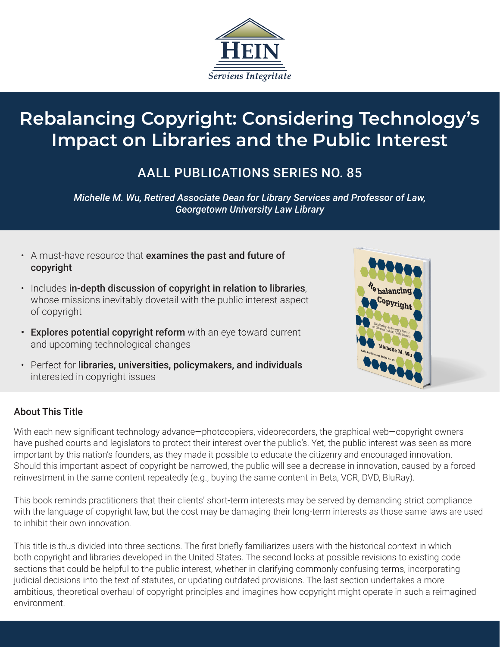

# **Rebalancing Copyright: Considering Technology's Impact on Libraries and the Public Interest**

## AALL PUBLICATIONS SERIES NO. 85

*Michelle M. Wu, Retired Associate Dean for Library Services and Professor of Law, Georgetown University Law Library*

- A must-have resource that examines the past and future of copyright
- Includes in-depth discussion of copyright in relation to libraries, whose missions inevitably dovetail with the public interest aspect of copyright
- Explores potential copyright reform with an eye toward current and upcoming technological changes
- Perfect for libraries, universities, policymakers, and individuals interested in copyright issues



#### About This Title

With each new significant technology advance-photocopiers, videorecorders, the graphical web-copyright owners have pushed courts and legislators to protect their interest over the public's. Yet, the public interest was seen as more important by this nation's founders, as they made it possible to educate the citizenry and encouraged innovation. Should this important aspect of copyright be narrowed, the public will see a decrease in innovation, caused by a forced reinvestment in the same content repeatedly (e.g., buying the same content in Beta, VCR, DVD, BluRay).

This book reminds practitioners that their clients' short-term interests may be served by demanding strict compliance with the language of copyright law, but the cost may be damaging their long-term interests as those same laws are used to inhibit their own innovation.

This title is thus divided into three sections. The first briefly familiarizes users with the historical context in which both copyright and libraries developed in the United States. The second looks at possible revisions to existing code sections that could be helpful to the public interest, whether in clarifying commonly confusing terms, incorporating judicial decisions into the text of statutes, or updating outdated provisions. The last section undertakes a more ambitious, theoretical overhaul of copyright principles and imagines how copyright might operate in such a reimagined environment.